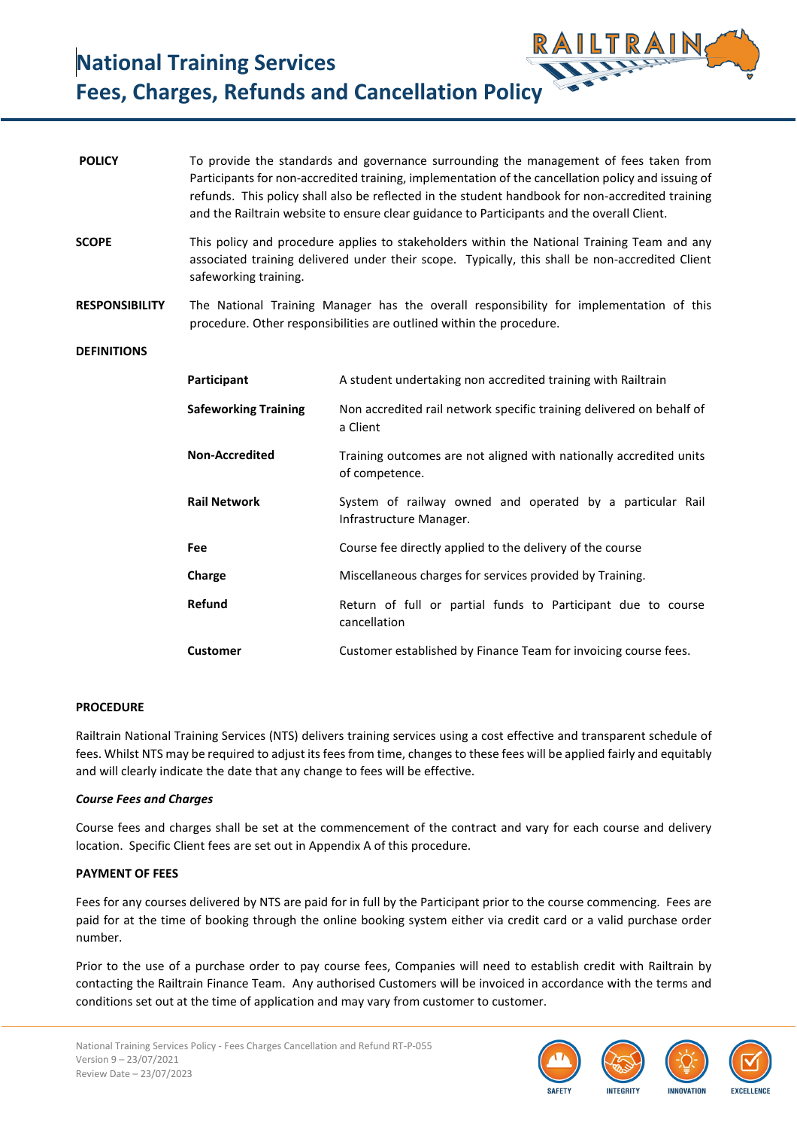**National Training Services Fees, Charges, Refunds and Cancellation Policy**

| <b>POLICY</b>         |                             | To provide the standards and governance surrounding the management of fees taken from<br>Participants for non-accredited training, implementation of the cancellation policy and issuing of<br>refunds. This policy shall also be reflected in the student handbook for non-accredited training<br>and the Railtrain website to ensure clear guidance to Participants and the overall Client. |
|-----------------------|-----------------------------|-----------------------------------------------------------------------------------------------------------------------------------------------------------------------------------------------------------------------------------------------------------------------------------------------------------------------------------------------------------------------------------------------|
| <b>SCOPE</b>          | safeworking training.       | This policy and procedure applies to stakeholders within the National Training Team and any<br>associated training delivered under their scope. Typically, this shall be non-accredited Client                                                                                                                                                                                                |
| <b>RESPONSIBILITY</b> |                             | The National Training Manager has the overall responsibility for implementation of this<br>procedure. Other responsibilities are outlined within the procedure.                                                                                                                                                                                                                               |
| <b>DEFINITIONS</b>    |                             |                                                                                                                                                                                                                                                                                                                                                                                               |
|                       | Participant                 | A student undertaking non accredited training with Railtrain                                                                                                                                                                                                                                                                                                                                  |
|                       | <b>Safeworking Training</b> | Non accredited rail network specific training delivered on behalf of<br>a Client                                                                                                                                                                                                                                                                                                              |
|                       | <b>Non-Accredited</b>       | Training outcomes are not aligned with nationally accredited units<br>of competence.                                                                                                                                                                                                                                                                                                          |
|                       | <b>Rail Network</b>         | System of railway owned and operated by a particular Rail<br>Infrastructure Manager.                                                                                                                                                                                                                                                                                                          |
|                       | <b>Fee</b>                  | Course fee directly applied to the delivery of the course                                                                                                                                                                                                                                                                                                                                     |
|                       | Charge                      | Miscellaneous charges for services provided by Training.                                                                                                                                                                                                                                                                                                                                      |
|                       | Refund                      | Return of full or partial funds to Participant due to course<br>cancellation                                                                                                                                                                                                                                                                                                                  |
|                       | <b>Customer</b>             | Customer established by Finance Team for invoicing course fees.                                                                                                                                                                                                                                                                                                                               |

## **PROCEDURE**

Railtrain National Training Services (NTS) delivers training services using a cost effective and transparent schedule of fees. Whilst NTS may be required to adjust its fees from time, changes to these fees will be applied fairly and equitably and will clearly indicate the date that any change to fees will be effective.

#### *Course Fees and Charges*

Course fees and charges shall be set at the commencement of the contract and vary for each course and delivery location. Specific Client fees are set out in Appendix A of this procedure.

# **PAYMENT OF FEES**

Fees for any courses delivered by NTS are paid for in full by the Participant prior to the course commencing. Fees are paid for at the time of booking through the online booking system either via credit card or a valid purchase order number.

Prior to the use of a purchase order to pay course fees, Companies will need to establish credit with Railtrain by contacting the Railtrain Finance Team. Any authorised Customers will be invoiced in accordance with the terms and conditions set out at the time of application and may vary from customer to customer.

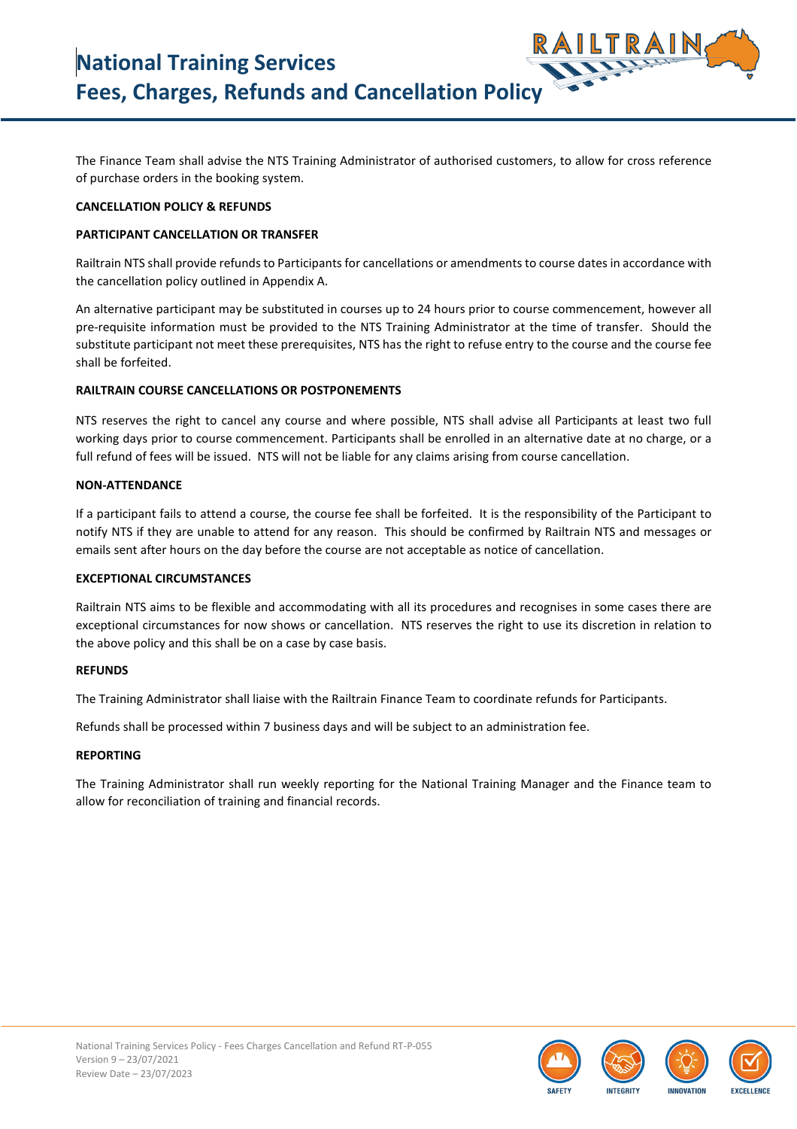The Finance Team shall advise the NTS Training Administrator of authorised customers, to allow for cross reference of purchase orders in the booking system.

## **CANCELLATION POLICY & REFUNDS**

## **PARTICIPANT CANCELLATION OR TRANSFER**

Railtrain NTS shall provide refunds to Participants for cancellations or amendments to course dates in accordance with the cancellation policy outlined in Appendix A.

An alternative participant may be substituted in courses up to 24 hours prior to course commencement, however all pre-requisite information must be provided to the NTS Training Administrator at the time of transfer. Should the substitute participant not meet these prerequisites, NTS has the right to refuse entry to the course and the course fee shall be forfeited.

### **RAILTRAIN COURSE CANCELLATIONS OR POSTPONEMENTS**

NTS reserves the right to cancel any course and where possible, NTS shall advise all Participants at least two full working days prior to course commencement. Participants shall be enrolled in an alternative date at no charge, or a full refund of fees will be issued. NTS will not be liable for any claims arising from course cancellation.

### **NON-ATTENDANCE**

If a participant fails to attend a course, the course fee shall be forfeited. It is the responsibility of the Participant to notify NTS if they are unable to attend for any reason. This should be confirmed by Railtrain NTS and messages or emails sent after hours on the day before the course are not acceptable as notice of cancellation.

#### **EXCEPTIONAL CIRCUMSTANCES**

Railtrain NTS aims to be flexible and accommodating with all its procedures and recognises in some cases there are exceptional circumstances for now shows or cancellation. NTS reserves the right to use its discretion in relation to the above policy and this shall be on a case by case basis.

### **REFUNDS**

The Training Administrator shall liaise with the Railtrain Finance Team to coordinate refunds for Participants.

Refunds shall be processed within 7 business days and will be subject to an administration fee.

#### **REPORTING**

The Training Administrator shall run weekly reporting for the National Training Manager and the Finance team to allow for reconciliation of training and financial records.

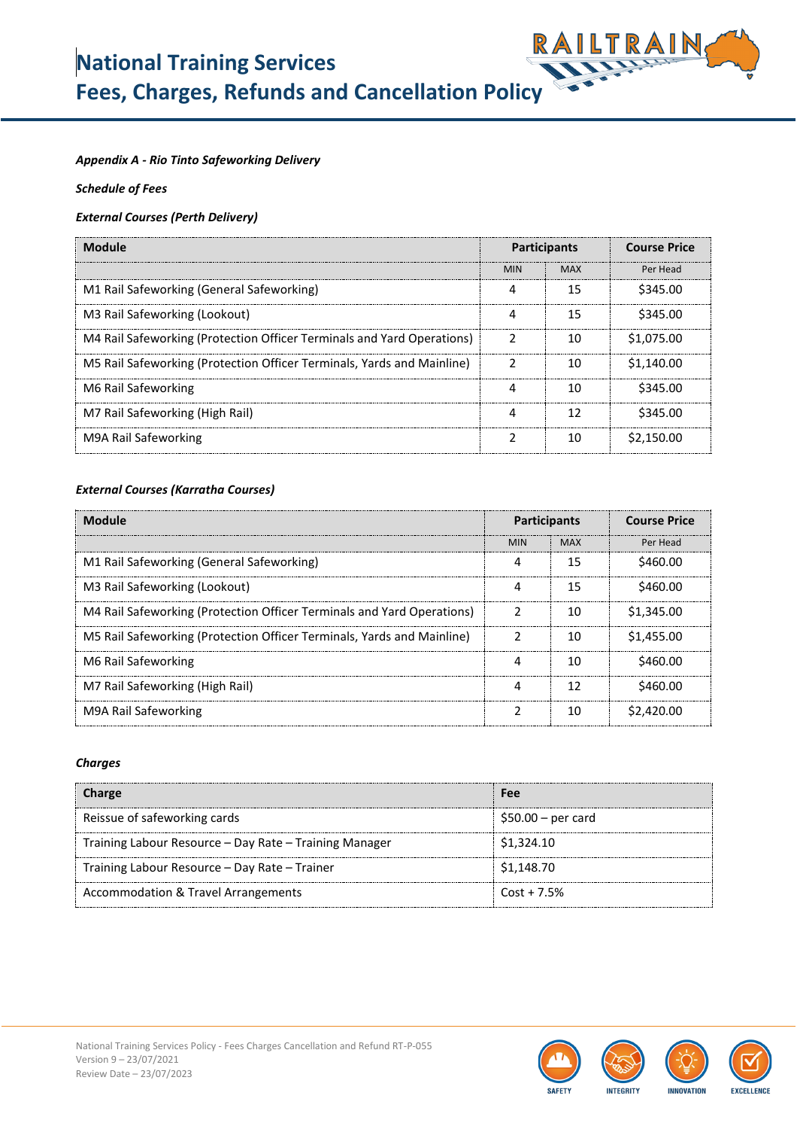# **National Training Services Fees, Charges, Refunds and Cancellation Policy**



# *Appendix A - Rio Tinto Safeworking Delivery*

*Schedule of Fees* 

# *External Courses (Perth Delivery)*

| Module                                                                 | <b>Participants</b> |            | <b>Course Price</b> |
|------------------------------------------------------------------------|---------------------|------------|---------------------|
|                                                                        | <b>MIN</b>          | <b>MAX</b> | Per Head            |
| M1 Rail Safeworking (General Safeworking)                              |                     | 15         | \$345.00            |
| M3 Rail Safeworking (Lookout)                                          |                     | 15         | \$345.00            |
| M4 Rail Safeworking (Protection Officer Terminals and Yard Operations) |                     | 10         | \$1,075,00          |
| M5 Rail Safeworking (Protection Officer Terminals, Yards and Mainline) |                     | 10         | \$1,140.00          |
| M6 Rail Safeworking                                                    |                     | 10         | \$345.00            |
| M7 Rail Safeworking (High Rail)                                        |                     | 1 フ        | \$345.00            |
| M9A Rail Safeworking                                                   |                     | 10         | \$2,150.00          |

# *External Courses (Karratha Courses)*

| Module                                                                 |            | <b>Participants</b> | <b>Course Price</b>   |
|------------------------------------------------------------------------|------------|---------------------|-----------------------|
|                                                                        | <b>MIN</b> | <b>MAX</b>          | Per Head              |
| M1 Rail Safeworking (General Safeworking)                              |            | 15                  | S460.00               |
| M3 Rail Safeworking (Lookout)                                          |            | 15                  | S460.00               |
| M4 Rail Safeworking (Protection Officer Terminals and Yard Operations) |            | 10                  | \$1,345.00            |
| M5 Rail Safeworking (Protection Officer Terminals, Yards and Mainline) |            | 10                  | \$1,455.00            |
| M6 Rail Safeworking                                                    |            | 10                  | \$460.00              |
| M7 Rail Safeworking (High Rail)                                        |            |                     | S460.00               |
| M9A Rail Safeworking                                                   |            |                     | S <sub>2.420.00</sub> |

## *Charges*

| Charge                                                 | Fee                 |
|--------------------------------------------------------|---------------------|
| Reissue of safeworking cards                           | $$50.00 - per card$ |
| Training Labour Resource – Day Rate – Training Manager | \$1,324.10          |
| Training Labour Resource - Day Rate - Trainer          | \$1,148.70          |
| Accommodation & Travel Arrangements                    | $Cost + 7.5%$       |